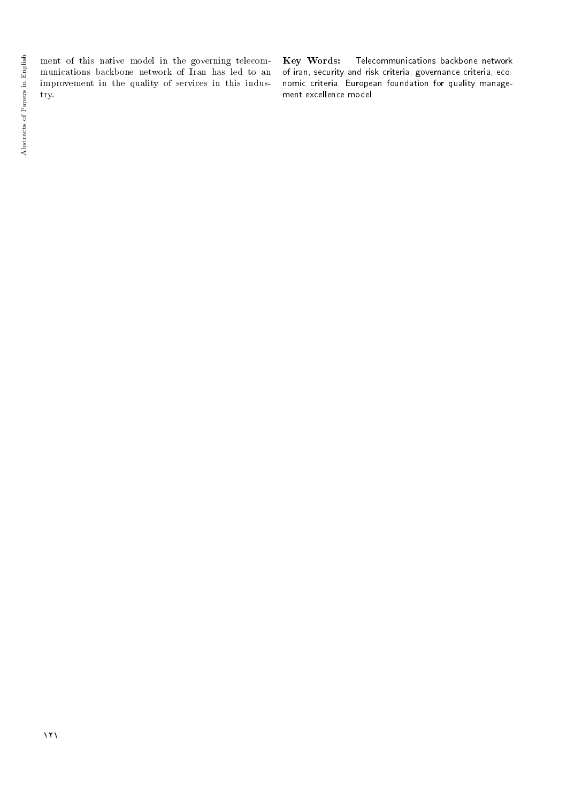ment of this native model in the governing telecommunications backbone network of Iran has led to an improvement in the quality of services in this industry.

Key Words: Telecommunications backbone network of iran, security and risk criteria, governance criteria, economic criteria, European foundation for quality management excellence model.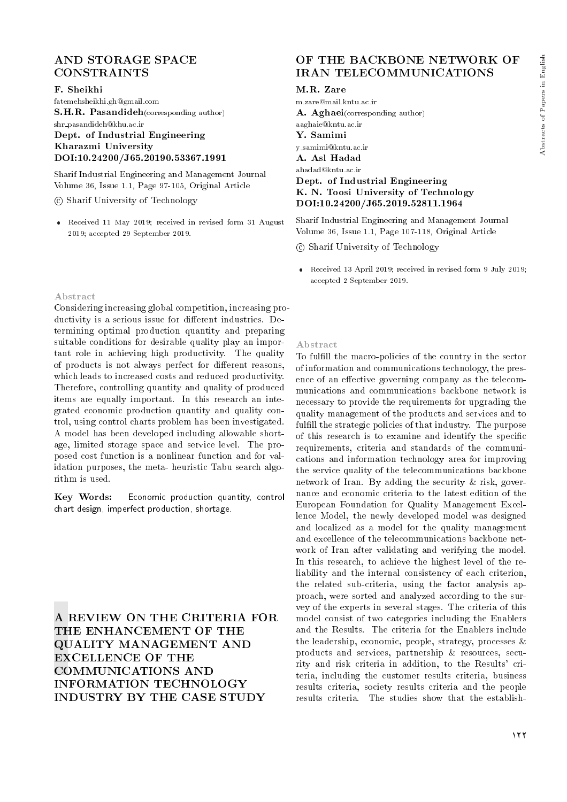## AND STORAGE SPACE CONSTRAINTS

### F. Sheikhi

fatemehsheikhi.gh@gmail.com S.H.R. Pasandideh(corresponding author) shr pasandideh@khu.ac.ir Dept. of Industrial Engineering Kharazmi University DOI:10.24200/J65.20190.53367.1991

Sharif Industrial Engineering and Management Journal Volume 36, Issue 1.1, Page 97-105, Original Article

c Sharif University of Technology

 Received 11 May 2019; received in revised form 31 August 2019; accepted 29 September 2019.

#### Abstract

Considering increasing global competition, increasing productivity is a serious issue for different industries. Determining optimal production quantity and preparing suitable conditions for desirable quality play an important role in achieving high productivity. The quality of products is not always perfect for different reasons, which leads to increased costs and reduced productivity. Therefore, controlling quantity and quality of produced items are equally important. In this research an integrated economic production quantity and quality control, using control charts problem has been investigated. A model has been developed including allowable shortage, limited storage space and service level. The proposed cost function is a nonlinear function and for validation purposes, the meta- heuristic Tabu search algorithm is used.

Key Words: Economic production quantity, control chart design, imperfect production, shortage.

A REVIEW ON THE CRITERIA FOR THE ENHANCEMENT OF THE QUALITY MANAGEMENT AND EXCELLENCE OF THE COMMUNICATIONS AND INFORMATION TECHNOLOGY INDUSTRY BY THE CASE STUDY

## OF THE BACKBONE NETWORK OF IRAN TELECOMMUNICATIONS

M.R. Zare

m.zare@mail.kntu.ac.ir A. Aghaei(corresponding author) aaghaie@kntu.ac.ir Y. Samimi y samimi@kntu.ac.ir A. Asl Hadad ahadad@kntu.ac.ir Dept. of Industrial Engineering K. N. Toosi University of Technology DOI:10.24200/J65.2019.52811.1964

Sharif Industrial Engineering and Management Journal Volume 36, Issue 1.1, Page 107-118, Original Article

c Sharif University of Technology

 Received 13 April 2019; received in revised form 9 July 2019; accepted 2 September 2019.

#### Abstract

To fulll the macro-policies of the country in the sector of information and communications technology, the presence of an effective governing company as the telecommunications and communications backbone network is necessary to provide the requirements for upgrading the quality management of the products and services and to fulfill the strategic policies of that industry. The purpose of this research is to examine and identify the specific requirements, criteria and standards of the communications and information technology area for improving the service quality of the telecommunications backbone network of Iran. By adding the security & risk, governance and economic criteria to the latest edition of the European Foundation for Quality Management Excellence Model, the newly developed model was designed and localized as a model for the quality management and excellence of the telecommunications backbone network of Iran after validating and verifying the model. In this research, to achieve the highest level of the reliability and the internal consistency of each criterion, the related sub-criteria, using the factor analysis approach, were sorted and analyzed according to the survey of the experts in several stages. The criteria of this model consist of two categories including the Enablers and the Results. The criteria for the Enablers include the leadership, economic, people, strategy, processes & products and services, partnership & resources, security and risk criteria in addition, to the Results' criteria, including the customer results criteria, business results criteria, society results criteria and the people results criteria. The studies show that the establish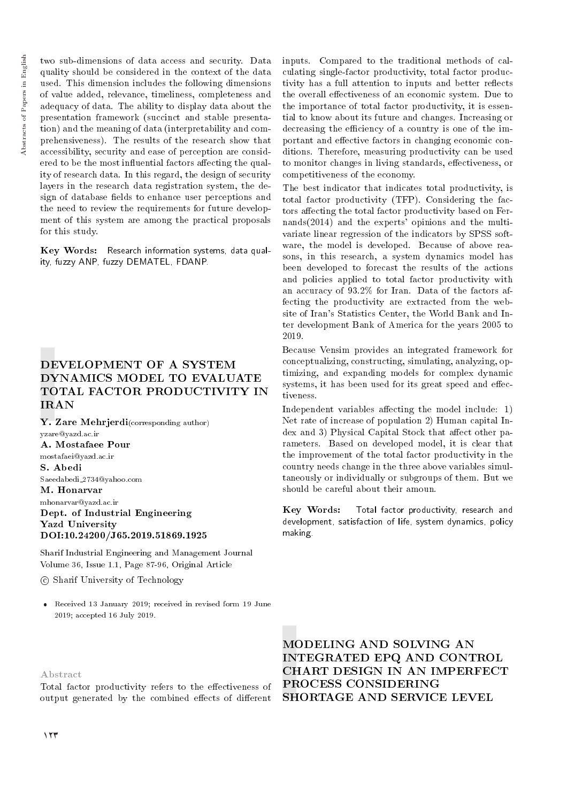two sub-dimensions of data access and security. Data quality should be considered in the context of the data used. This dimension includes the following dimensions of value added, relevance, timeliness, completeness and adequacy of data. The ability to display data about the presentation framework (succinct and stable presentation) and the meaning of data (interpretability and comprehensiveness). The results of the research show that accessibility, security and ease of perception are considered to be the most influential factors affecting the quality of research data. In this regard, the design of security layers in the research data registration system, the design of database fields to enhance user perceptions and the need to review the requirements for future development of this system are among the practical proposals for this study.

Key Words: Research information systems, data quality, fuzzy ANP, fuzzy DEMATEL, FDANP.

# DEVELOPMENT OF A SYSTEM DYNAMICS MODEL TO EVALUATE TOTAL FACTOR PRODUCTIVITY IN IRAN

Y. Zare Mehrjerdi(corresponding author) yzare@yazd.ac.ir A. Mostafaee Pour mostafaei@yazd.ac.ir S. Abedi Saeedabedi 2734@yahoo.com M. Honarvar mhonarvar@yazd.ac.ir Dept. of Industrial Engineering Yazd University DOI:10.24200/J65.2019.51869.1925

Sharif Industrial Engineering and Management Journal Volume 36, Issue 1.1, Page 87-96, Original Article

c Sharif University of Technology

 Received 13 January 2019; received in revised form 19 June 2019; accepted 16 July 2019.

Abstract

Total factor productivity refers to the effectiveness of output generated by the combined effects of different

inputs. Compared to the traditional methods of calculating single-factor productivity, total factor productivity has a full attention to inputs and better reflects the overall effectiveness of an economic system. Due to the importance of total factor productivity, it is essential to know about its future and changes. Increasing or decreasing the efficiency of a country is one of the important and effective factors in changing economic conditions. Therefore, measuring productivity can be used to monitor changes in living standards, effectiveness, or competitiveness of the economy.

The best indicator that indicates total productivity, is total factor productivity (TFP). Considering the factors affecting the total factor productivity based on Fernands(2014) and the experts' opinions and the multivariate linear regression of the indicators by SPSS software, the model is developed. Because of above reasons, in this research, a system dynamics model has been developed to forecast the results of the actions and policies applied to total factor productivity with an accuracy of 93.2% for Iran. Data of the factors affecting the productivity are extracted from the website of Iran's Statistics Center, the World Bank and Inter development Bank of America for the years 2005 to 2019.

Because Vensim provides an integrated framework for conceptualizing, constructing, simulating, analyzing, optimizing, and expanding models for complex dynamic systems, it has been used for its great speed and effectiveness.

Independent variables affecting the model include:  $1)$ Net rate of increase of population 2) Human capital Index and 3) Physical Capital Stock that affect other parameters. Based on developed model, it is clear that the improvement of the total factor productivity in the country needs change in the three above variables simultaneously or individually or subgroups of them. But we should be careful about their amoun.

Key Words: Total factor productivity, research and development, satisfaction of life, system dynamics, policy making.

MODELING AND SOLVING AN INTEGRATED EPQ AND CONTROL CHART DESIGN IN AN IMPERFECT PROCESS CONSIDERING SHORTAGE AND SERVICE LEVEL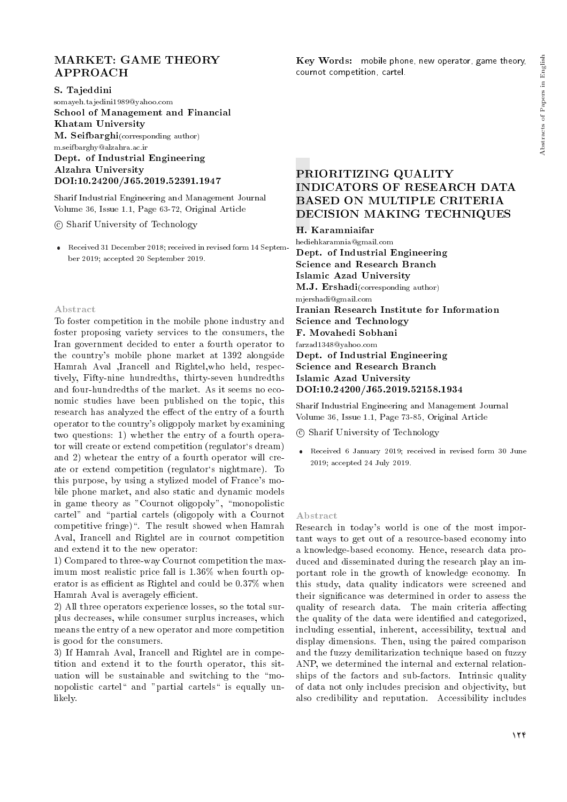## MARKET: GAME THEORY APPROACH

S. Tajeddini

somayeh.tajedini1989@yahoo.com School of Management and Financial Khatam University **M. Seifbarghi**(corresponding author) m.seifbarghy@alzahra.ac.ir Dept. of Industrial Engineering Alzahra University

DOI:10.24200/J65.2019.52391.1947

Sharif Industrial Engineering and Management Journal Volume 36, Issue 1.1, Page 63-72, Original Article

c Sharif University of Technology

 Received 31 December 2018; received in revised form 14 September 2019; accepted 20 September 2019.

#### Abstract

To foster competition in the mobile phone industry and foster proposing variety services to the consumers, the Iran government decided to enter a fourth operator to the country's mobile phone market at 1392 alongside Hamrah Aval ,Irancell and Rightel,who held, respectively, Fifty-nine hundredths, thirty-seven hundredths and four-hundredths of the market. As it seems no economic studies have been published on the topic, this research has analyzed the effect of the entry of a fourth operator to the country's oligopoly market by examining two questions: 1) whether the entry of a fourth operator will create or extend competition (regulator`s dream) and 2) whetear the entry of a fourth operator will create or extend competition (regulator's nightmare). To this purpose, by using a stylized model of France's mobile phone market, and also static and dynamic models in game theory as "Cournot oligopoly", "monopolistic cartel" and "partial cartels (oligopoly with a Cournot competitive fringe)\. The result showed when Hamrah Aval, Irancell and Rightel are in cournot competition and extend it to the new operator:

1) Compared to three-way Cournot competition the maximum most realistic price fall is 1.36% when fourth operator is as efficient as Rightel and could be  $0.37\%$  when Hamrah Aval is averagely efficient.

2) All three operators experience losses, so the total surplus decreases, while consumer surplus increases, which means the entry of a new operator and more competition is good for the consumers.

3) If Hamrah Aval, Irancell and Rightel are in competition and extend it to the fourth operator, this situation will be sustainable and switching to the "monopolistic cartel" and "partial cartels" is equally unlikely.

Key Words: mobile phone, new operator, game theory, cournot competition, cartel.

## PRIORITIZING QUALITY INDICATORS OF RESEARCH DATA BASED ON MULTIPLE CRITERIA DECISION MAKING TECHNIQUES

H. Karamniaifar

hediehkaramnia@gmail.com Dept. of Industrial Engineering Science and Research Branch Islamic Azad University M.J. Ershadi(corresponding author) mjershadi@gmail.com Iranian Research Institute for Information Science and Technology F. Movahedi Sobhani farzad1348@yahoo.com Dept. of Industrial Engineering Science and Research Branch Islamic Azad University DOI:10.24200/J65.2019.52158.1934

Sharif Industrial Engineering and Management Journal Volume 36, Issue 1.1, Page 73-85, Original Article

c Sharif University of Technology

 Received 6 January 2019; received in revised form 30 June 2019; accepted 24 July 2019.

#### Abstract

Research in today's world is one of the most important ways to get out of a resource-based economy into a knowledge-based economy. Hence, research data produced and disseminated during the research play an important role in the growth of knowledge economy. In this study, data quality indicators were screened and their signicance was determined in order to assess the quality of research data. The main criteria affecting the quality of the data were identified and categorized, including essential, inherent, accessibility, textual and display dimensions. Then, using the paired comparison and the fuzzy demilitarization technique based on fuzzy ANP, we determined the internal and external relationships of the factors and sub-factors. Intrinsic quality of data not only includes precision and objectivity, but also credibility and reputation. Accessibility includes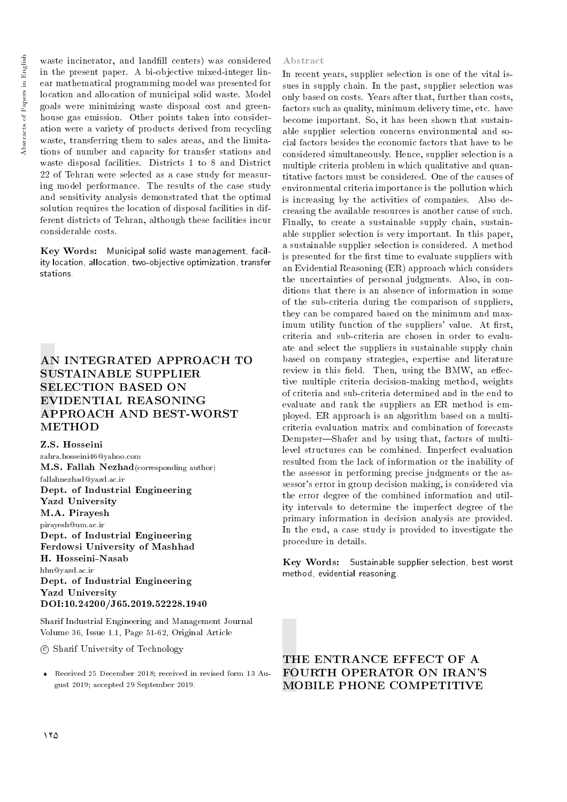waste incinerator, and landfill centers) was considered in the present paper. A bi-objective mixed-integer linear mathematical programming model was presented for location and allocation of municipal solid waste. Model goals were minimizing waste disposal cost and greenhouse gas emission. Other points taken into consideration were a variety of products derived from recycling waste, transferring them to sales areas, and the limitations of number and capacity for transfer stations and waste disposal facilities. Districts 1 to 8 and District 22 of Tehran were selected as a case study for measuring model performance. The results of the case study and sensitivity analysis demonstrated that the optimal solution requires the location of disposal facilities in different districts of Tehran, although these facilities incur considerable costs.

Key Words: Municipal solid waste management, facility location, allocation, two-objective optimization, transfer stations.

## AN INTEGRATED APPROACH TO SUSTAINABLE SUPPLIER SELECTION BASED ON EVIDENTIAL REASONING APPROACH AND BEST-WORST **METHOD**

Z.S. Hosseini zahra.hosseini46@yahoo.com M.S. Fallah Nezhad(corresponding author) fallahnezhad@yazd.ac.ir Dept. of Industrial Engineering Yazd University M.A. Pirayesh pirayesh@um.ac.ir Dept. of Industrial Engineering Ferdowsi University of Mashhad H. Hosseini-Nasab hhn@yazd.ac.ir Dept. of Industrial Engineering Yazd University DOI:10.24200/J65.2019.52228.1940

Sharif Industrial Engineering and Management Journal Volume 36, Issue 1.1, Page 51-62, Original Article

c Sharif University of Technology

 Received 25 December 2018; received in revised form 13 August 2019; accepted 29 September 2019.

#### Abstract

In recent years, supplier selection is one of the vital issues in supply chain. In the past, supplier selection was only based on costs. Years after that, further than costs, factors such as quality, minimum delivery time, etc. have become important. So, it has been shown that sustainable supplier selection concerns environmental and social factors besides the economic factors that have to be considered simultaneously. Hence, supplier selection is a multiple criteria problem in which qualitative and quantitative factors must be considered. One of the causes of environmental criteria importance is the pollution which is increasing by the activities of companies. Also decreasing the available resources is another cause of such. Finally, to create a sustainable supply chain, sustainable supplier selection is very important. In this paper, a sustainable supplier selection is considered. A method is presented for the first time to evaluate suppliers with an Evidential Reasoning (ER) approach which considers the uncertainties of personal judgments. Also, in conditions that there is an absence of information in some of the sub-criteria during the comparison of suppliers, they can be compared based on the minimum and maximum utility function of the suppliers' value. At first, criteria and sub-criteria are chosen in order to evaluate and select the suppliers in sustainable supply chain based on company strategies, expertise and literature review in this field. Then, using the BMW, an effective multiple criteria decision-making method, weights of criteria and sub-criteria determined and in the end to evaluate and rank the suppliers an ER method is employed. ER approach is an algorithm based on a multicriteria evaluation matrix and combination of forecasts Dempster-Shafer and by using that, factors of multilevel structures can be combined. Imperfect evaluation resulted from the lack of information or the inability of the assessor in performing precise judgments or the assessor's error in group decision making, is considered via the error degree of the combined information and utility intervals to determine the imperfect degree of the primary information in decision analysis are provided. In the end, a case study is provided to investigate the procedure in details.

Key Words: Sustainable supplier selection, best worst method, evidential reasoning.

## THE ENTRANCE EFFECT OF A FOURTH OPERATOR ON IRAN'S MOBILE PHONE COMPETITIVE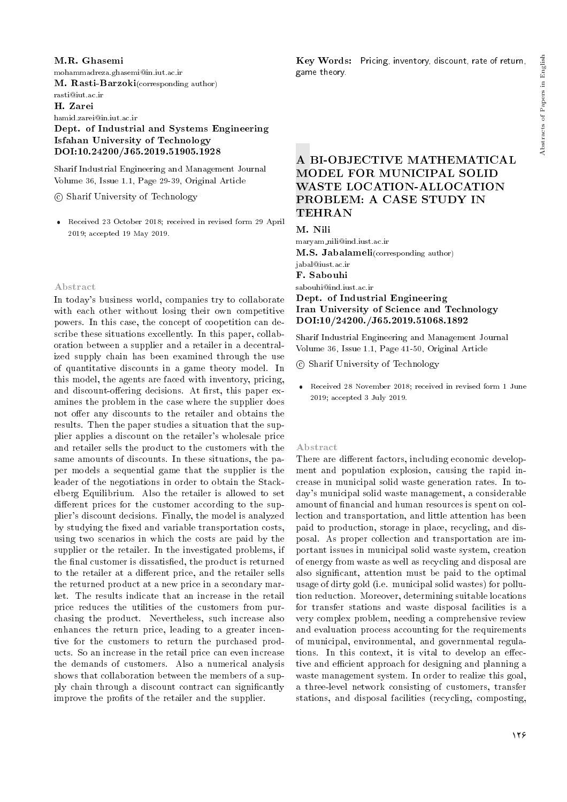#### M.R. Ghasemi

mohammadreza.ghasemi@in.iut.ac.ir

M. Rasti-Barzoki(corresponding author)

rasti@iut.ac.ir

H. Zarei

hamid.zarei@in.iut.ac.ir

Dept. of Industrial and Systems Engineering Isfahan University of Technology DOI:10.24200/J65.2019.51905.1928

Sharif Industrial Engineering and Management Journal Volume 36, Issue 1.1, Page 29-39, Original Article

c Sharif University of Technology

 Received 23 October 2018; received in revised form 29 April 2019; accepted 19 May 2019.

#### Abstract

In today's business world, companies try to collaborate with each other without losing their own competitive powers. In this case, the concept of coopetition can describe these situations excellently. In this paper, collaboration between a supplier and a retailer in a decentralized supply chain has been examined through the use of quantitative discounts in a game theory model. In this model, the agents are faced with inventory, pricing, and discount-offering decisions. At first, this paper examines the problem in the case where the supplier does not offer any discounts to the retailer and obtains the results. Then the paper studies a situation that the supplier applies a discount on the retailer's wholesale price and retailer sells the product to the customers with the same amounts of discounts. In these situations, the paper models a sequential game that the supplier is the leader of the negotiations in order to obtain the Stackelberg Equilibrium. Also the retailer is allowed to set different prices for the customer according to the supplier's discount decisions. Finally, the model is analyzed by studying the fixed and variable transportation costs, using two scenarios in which the costs are paid by the supplier or the retailer. In the investigated problems, if the final customer is dissatisfied, the product is returned to the retailer at a different price, and the retailer sells the returned product at a new price in a secondary market. The results indicate that an increase in the retail price reduces the utilities of the customers from purchasing the product. Nevertheless, such increase also enhances the return price, leading to a greater incentive for the customers to return the purchased products. So an increase in the retail price can even increase the demands of customers. Also a numerical analysis shows that collaboration between the members of a supply chain through a discount contract can signicantly improve the profits of the retailer and the supplier.

Key Words: Pricing, inventory, discount, rate of return, game theory.

## A BI-OBJECTIVE MATHEMATICAL MODEL FOR MUNICIPAL SOLID WASTE LOCATION-ALLOCATION PROBLEM: A CASE STUDY IN TEHRAN

M. Nili

maryam nili@ind.iust.ac.ir M.S. Jabalameli(corresponding author)

jabal@iust.ac.ir

F. Sabouhi

sabouhi@ind.iust.ac.ir

## Dept. of Industrial Engineering Iran University of Science and Technology DOI:10/24200./J65.2019.51068.1892

Sharif Industrial Engineering and Management Journal Volume 36, Issue 1.1, Page 41-50, Original Article

c Sharif University of Technology

 Received 28 November 2018; received in revised form 1 June 2019; accepted 3 July 2019.

#### Abstract

There are different factors, including economic development and population explosion, causing the rapid increase in municipal solid waste generation rates. In today's municipal solid waste management, a considerable amount of financial and human resources is spent on collection and transportation, and little attention has been paid to production, storage in place, recycling, and disposal. As proper collection and transportation are important issues in municipal solid waste system, creation of energy from waste as well as recycling and disposal are also signicant, attention must be paid to the optimal usage of dirty gold (i.e. municipal solid wastes) for pollution reduction. Moreover, determining suitable locations for transfer stations and waste disposal facilities is a very complex problem, needing a comprehensive review and evaluation process accounting for the requirements of municipal, environmental, and governmental regulations. In this context, it is vital to develop an effective and efficient approach for designing and planning a waste management system. In order to realize this goal, a three-level network consisting of customers, transfer stations, and disposal facilities (recycling, composting,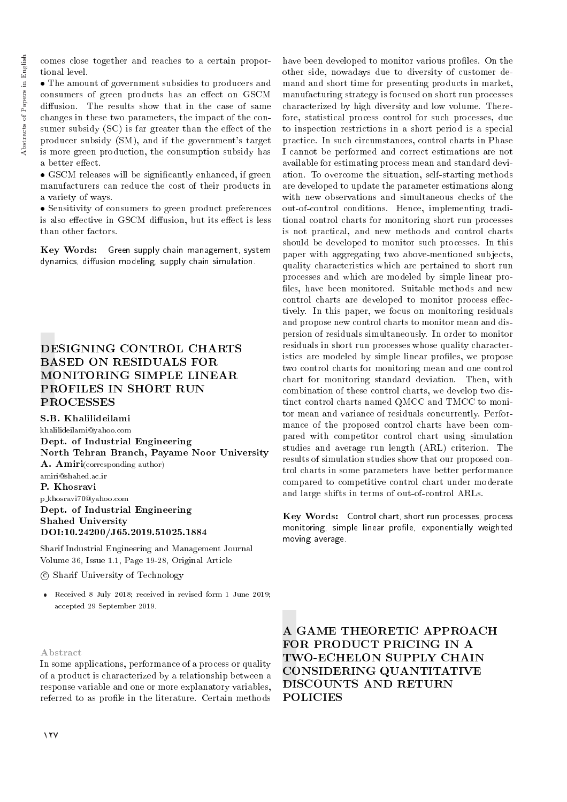comes close together and reaches to a certain proportional level.

 The amount of government subsidies to producers and consumers of green products has an effect on GSCM diffusion. The results show that in the case of same changes in these two parameters, the impact of the consumer subsidy  $(SC)$  is far greater than the effect of the producer subsidy (SM), and if the government's target is more green production, the consumption subsidy has a better effect.

• GSCM releases will be significantly enhanced, if green manufacturers can reduce the cost of their products in a variety of ways.

 Sensitivity of consumers to green product preferences is also effective in GSCM diffusion, but its effect is less than other factors.

Key Words: Green supply chain management, system dynamics, diffusion modeling, supply chain simulation.

# DESIGNING CONTROL CHARTS BASED ON RESIDUALS FOR MONITORING SIMPLE LINEAR PROFILES IN SHORT RUN PROCESSES

S.B. Khalilideilami

khalilideilami@yahoo.com Dept. of Industrial Engineering North Tehran Branch, Payame Noor University A. Amiri(corresponding author) amiri@shahed.ac.ir P. Khosravi p khosravi70@yahoo.com Dept. of Industrial Engineering Shahed University DOI:10.24200/J65.2019.51025.1884

Sharif Industrial Engineering and Management Journal Volume 36, Issue 1.1, Page 19-28, Original Article

## c Sharif University of Technology

 Received 8 July 2018; received in revised form 1 June 2019; accepted 29 September 2019.

#### Abstract

In some applications, performance of a process or quality of a product is characterized by a relationship between a response variable and one or more explanatory variables, referred to as profile in the literature. Certain methods have been developed to monitor various profiles. On the other side, nowadays due to diversity of customer demand and short time for presenting products in market, manufacturing strategy is focused on short run processes characterized by high diversity and low volume. Therefore, statistical process control for such processes, due to inspection restrictions in a short period is a special practice. In such circumstances, control charts in Phase I cannot be performed and correct estimations are not available for estimating process mean and standard deviation. To overcome the situation, self-starting methods are developed to update the parameter estimations along with new observations and simultaneous checks of the out-of-control conditions. Hence, implementing traditional control charts for monitoring short run processes is not practical, and new methods and control charts should be developed to monitor such processes. In this paper with aggregating two above-mentioned subjects, quality characteristics which are pertained to short run processes and which are modeled by simple linear pro files, have been monitored. Suitable methods and new control charts are developed to monitor process effectively. In this paper, we focus on monitoring residuals and propose new control charts to monitor mean and dispersion of residuals simultaneously. In order to monitor residuals in short run processes whose quality characteristics are modeled by simple linear profiles, we propose two control charts for monitoring mean and one control chart for monitoring standard deviation. Then, with combination of these control charts, we develop two distinct control charts named QMCC and TMCC to monitor mean and variance of residuals concurrently. Performance of the proposed control charts have been compared with competitor control chart using simulation studies and average run length (ARL) criterion. The results of simulation studies show that our proposed control charts in some parameters have better performance compared to competitive control chart under moderate and large shifts in terms of out-of-control ARLs.

Key Words: Control chart, short run processes, process monitoring, simple linear profile, exponentially weighted moving average.

A GAME THEORETIC APPROACH FOR PRODUCT PRICING IN A TWO-ECHELON SUPPLY CHAIN CONSIDERING QUANTITATIVE DISCOUNTS AND RETURN POLICIES